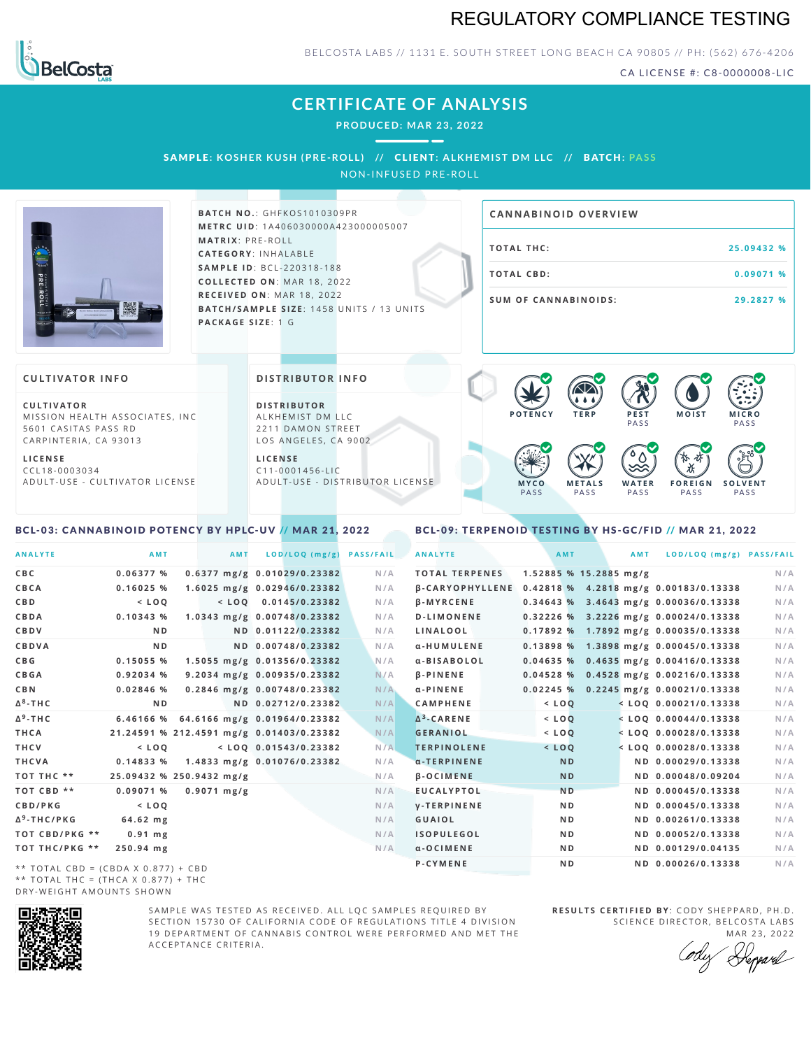## REGULATORY COMPLIANCE TESTING



BELCOSTA LABS // 1131 E. SOUTH STREET LONG BEACH CA 90805 // PH: (562) 676-4206

CA LICENSE #: C8-0000008-LIC

# **CERTIFICATE OF ANALYSIS**

**PRODUCED: MA R 23, 2022**

SAMPLE: KOSHER KUSH (PRE-ROLL) // CLIENT: ALKHEMIST DM LLC // BATCH: PASS

NON-INFUSED PRE-ROLL



**BAT C H N O .**: G H F K O S 1 0 1 0 3 0 9 P R **M E T R C U ID** :1 A 4 0 6 0 3 0 0 0 0 A 4 2 3 0 0 0 0 0 5 0 0 7 **M AT R I X** :P R E - R O L L **CAT E G O R Y** : I N H A L A B L E **SA M P L E I D** :B C L - 2 2 0 3 1 8 - 1 8 8  $COLLECTED ON: MAR 18, 2022$ **R E C E I V E D O N** : M A R 1 8 ,2 0 2 2 **BATCH/SAMPLE SIZE:** 1458 UNITS / 13 UNITS **PAC KA G E S I Z E** : 1 G

# **T O TAL T H C :2 5 . 0 9 4 3 2 % T O TAL CB D :0 . 0 9 0 7 1 % S U M O F CA N N ABI N O I D S : 2 9 . 2 8 2 7 % CA N N ABI N OID OVERVI EW**

### **CULTIVATOR I N FO**

**C U L T I VAT O R** MISSION HEALTH ASSOCIATES, INC. 5601 CASITAS PASS RD CARPINTERIA, CA 93013

**L I C E N S E** C C L 1 8 - 0 0 0 3 0 3 4 A D U L T - U S E - C U L T I V A T O R L I C E N S E

<span id="page-0-0"></span>BCL-03: CANNABINOID POTENCY BY HPLC-UV // MAR 21, 2022

#### **DI STRIBUTOR I N FO**

**D I S T R IB U T O R** ALKHEMIST DM LLC 2211 DAMON STREET LOS ANGELES, CA 9002

**L I C E N S E** C 1 1 - 0 0 0 1 4 5 6 - L I C A D U L T - U S E - D I STRI B U T O R LICENSE



<span id="page-0-1"></span>BCL-09: TERPENOID TESTING BY HS-GC/FID // MAR 21, 2022

| <b>ANALYTE</b>                      | AMT                                      | <b>AMT</b>            | LOD/LOQ (mg/g)               | <b>PASS/FAIL</b> | <b>ANALYTE</b>         | <b>AMT</b>     |                          | <b>AMT</b> | LOD/LOQ (mg/g) PASS/FAIL                |     |
|-------------------------------------|------------------------------------------|-----------------------|------------------------------|------------------|------------------------|----------------|--------------------------|------------|-----------------------------------------|-----|
| CBC                                 | 0.06377 %                                |                       | 0.6377 mg/g 0.01029/0.23382  | N/A              | <b>TOTAL TERPENES</b>  |                | $1.52885$ % 15.2885 mg/g |            |                                         | N/A |
| CBCA                                | 0.16025%                                 |                       | 1.6025 mg/g 0.02946/0.23382  | N/A              | <b>B-CARYOPHYLLENE</b> |                |                          |            | 0.42818 % 4.2818 mg/g 0.00183/0.13338   | N/A |
| C B D                               | $<$ LOO                                  |                       | $<$ LOO 0.0145/0.23382       | N/A              | <b>B-MYRCENE</b>       |                |                          |            | 0.34643 % 3.4643 mg/g 0.00036/0.13338   | N/A |
| CBDA                                | 0.10343%                                 |                       | 1.0343 mg/g 0.00748/0.23382  | N/A              | <b>D-LIMONENE</b>      |                |                          |            | $0.32226$ % 3.2226 mg/g 0.00024/0.13338 | N/A |
| CBDV                                | N <sub>D</sub>                           |                       | ND 0.01122/0.23382           | N/A              | LINALOOL               |                |                          |            | 0.17892 % 1.7892 mg/g 0.00035/0.13338   | N/A |
| CBDVA                               | N <sub>D</sub>                           |                       | ND 0.00748/0.23382           | N/A              | α-HUMULENE             |                |                          |            | 0.13898 % 1.3898 mg/g 0.00045/0.13338   | N/A |
| C B G                               | 0.15055 %                                |                       | 1.5055 mg/g 0.01356/0.23382  | N/A              | α-BISABOLOL            | 0.04635%       |                          |            | $0.4635$ mg/g $0.00416/0.13338$         | N/A |
| CBGA                                | 0.92034 %                                |                       | 9.2034 mg/g 0.00935/0.23382  | N/A              | <b>B-PINENE</b>        | 0.04528%       |                          |            | 0.4528 mg/g 0.00216/0.13338             | N/A |
| C B N                               | $0.02846$ %                              |                       | 0.2846 mg/g 0.00748/0.23382  | N/A              | $\alpha$ -PINENE       | 0.02245%       |                          |            | 0.2245 mg/g 0.00021/0.13338             | N/A |
| $\Delta^8$ -THC                     | N <sub>D</sub>                           |                       | ND 0.02712/0.23382           | N/A              | CAMPHENE               | $<$ LOQ        |                          |            | $<$ LOQ 0.00021/0.13338                 | N/A |
| $\Delta$ <sup>9</sup> -THC          | 6.46166 %                                |                       | 64.6166 mg/g 0.01964/0.23382 | N/A              | $\Delta^3$ -CARENE     | $<$ LOO        |                          |            | $<$ LOO 0.00044/0.13338                 | N/A |
| THCA                                | 21.24591 % 212.4591 mg/g 0.01403/0.23382 |                       |                              | N/A              | <b>GERANIOL</b>        | $<$ LOQ        |                          |            | $<$ LOQ 0.00028/0.13338                 | N/A |
| THCV                                | $<$ LOO                                  |                       | $<$ LOQ 0.01543/0.23382      | N/A              | <b>TERPINOLENE</b>     | $<$ $LOQ$      |                          |            | $<$ LOQ 0.00028/0.13338                 | N/A |
| THCVA                               | 0.14833%                                 |                       | 1.4833 mg/g 0.01076/0.23382  | N/A              | $\alpha$ -TERPINENE    | <b>ND</b>      |                          |            | ND 0.00029/0.13338                      | N/A |
| тот тнс **                          | 25.09432 % 250.9432 mg/g                 |                       |                              | N/A              | $\beta$ -OCIMENE       | <b>ND</b>      |                          |            | ND 0.00048/0.09204                      | N/A |
| TOT CBD **                          | 0.09071 %                                | $0.9071 \text{ mg/g}$ |                              | N/A              | <b>EUCALYPTOL</b>      | N <sub>D</sub> |                          |            | ND 0.00045/0.13338                      | N/A |
| CBD/PKG                             | $<$ LOO                                  |                       |                              | N/A              | <b>V-TERPINENE</b>     | N <sub>D</sub> |                          |            | ND 0.00045/0.13338                      | N/A |
| Δ <sup>9</sup> -THC/PKG             | 64.62 mg                                 |                       |                              | N/A              | <b>GUAIOL</b>          | N <sub>D</sub> |                          |            | ND 0.00261/0.13338                      | N/A |
| TOT CBD/PKG **                      | $0.91$ mg                                |                       |                              | N/A              | <b>ISOPULEGOL</b>      | N <sub>D</sub> |                          |            | ND 0.00052/0.13338                      | N/A |
| ТОТ ТНС/РКС **                      | 250.94 mg                                |                       |                              | N/A              | $\alpha$ -OCIMENE      | ND.            |                          |            | ND 0.00129/0.04135                      | N/A |
| ** TOTAL CBD = (CBDA X 0.877) + CBD |                                          |                       |                              |                  | P-CYMENE               | N <sub>D</sub> |                          |            | ND 0.00026/0.13338                      | N/A |
|                                     |                                          |                       |                              |                  |                        |                |                          |            |                                         |     |

\*\* TOTAL CBD = (CBDA X 0.877) + CBD \*\* TOTAL THC =  $(THCA X 0.877) + THC$ DRY-WEIGHT AMOUNTS SHOWN



SAMPLE WAS TESTED AS RECEIVED. ALL LOC SAMPLES REQUIRED BY SECTION 15730 OF CALIFORNIA CODE OF REGULATIONS TITLE 4 DIVISION 19 DEPARTMENT OF CANNABIS CONTROL WERE PERFORMED AND MET THE A C C E P T A N C E C R I T E R I A .

**R E S U L T S C E R T I F I E D BY** : C O D Y S H E P P A R D ,P H .D . SCIENCE DIRECTOR, BELCOSTA LABS

MAR 23, 2022 Repard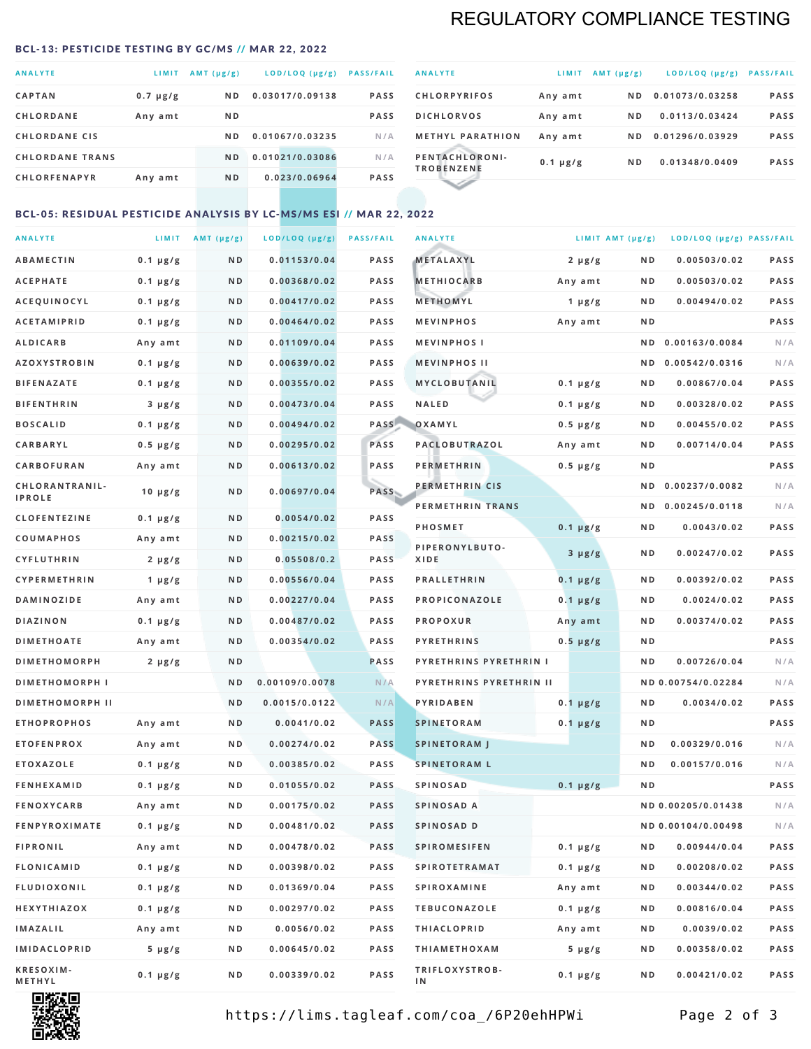# REGULATORY COMPLIANCE TESTING

#### <span id="page-1-0"></span>BCL-13: PESTICIDE TESTING BY GC/MS // MAR 22, 2022

| <b>ANALYTE</b>         | LIMIT         | AMT $(\mu g/g)$ | LOD/LOQ (µg/g)  | <b>PASS/FAIL</b> |
|------------------------|---------------|-----------------|-----------------|------------------|
| <b>CAPTAN</b>          | $0.7 \mu g/g$ | N <sub>D</sub>  | 0.03017/0.09138 | <b>PASS</b>      |
| <b>CHLORDANE</b>       | Any amt       | N <sub>D</sub>  |                 | <b>PASS</b>      |
| <b>CHLORDANE CIS</b>   |               | N D             | 0.01067/0.03235 | N/A              |
| <b>CHLORDANE TRANS</b> |               | N <sub>D</sub>  | 0.01021/0.03086 | N/A              |
| <b>CHLORFENAPYR</b>    | Any amt       | N <sub>D</sub>  | 0.023/0.06964   | <b>PASS</b>      |

| <b>ANALYTE</b>                      | LIMIT         | $AMT (\mu g/g)$ | $LOD/LOQ$ ( $\mu g/g$ ) | <b>PASS/FAIL</b> |
|-------------------------------------|---------------|-----------------|-------------------------|------------------|
| <b>CHLORPYRIFOS</b>                 | Any amt       | ND.             | 0.01073/0.03258         | <b>PASS</b>      |
| <b>DICHLORVOS</b>                   | Any amt       | ND.             | 0.0113/0.03424          | <b>PASS</b>      |
| <b>METHYL PARATHION</b>             | Any amt       | ND.             | 0.01296/0.03929         | <b>PASS</b>      |
| PENTACHLORONI-<br><b>TROBENZENE</b> | $0.1 \mu g/g$ | ND.             | 0.01348/0.0409          | <b>PASS</b>      |
|                                     |               |                 |                         |                  |

### BCL-05: RESIDUAL PESTICIDE ANALYSIS BY LC-MS/MS ESI // MAR 22, 2022

| <b>ANALYTE</b>         |               | LIMIT $AMT (\mu g/g)$ | LOD/LOQ (µg/g) | <b>PASS/FAIL</b> | <b>ANALYTE</b>          |               | LIMIT AMT $(\mu g/g)$ | LOD/LOQ (µg/g) PASS/FAIL |             |
|------------------------|---------------|-----------------------|----------------|------------------|-------------------------|---------------|-----------------------|--------------------------|-------------|
| <b>ABAMECTIN</b>       | $0.1 \mu g/g$ | N D                   | 0.01153/0.04   | <b>PASS</b>      | METALAXYL               | $2 \mu g/g$   | N D                   | 0.00503/0.02             | <b>PASS</b> |
| <b>ACEPHATE</b>        | $0.1 \mu g/g$ | N D                   | 0.00368/0.02   | <b>PASS</b>      | <b>METHIOCARB</b>       | Any amt       | N D                   | 0.00503/0.02             | PASS        |
| <b>ACEQUINOCYL</b>     | $0.1 \mu g/g$ | N D                   | 0.00417/0.02   | <b>PASS</b>      | <b>METHOMYL</b>         | $1 \mu g/g$   | N D                   | 0.00494/0.02             | PASS        |
| <b>ACETAMIPRID</b>     | $0.1 \mu g/g$ | N D                   | 0.00464/0.02   | <b>PASS</b>      | <b>MEVINPHOS</b>        | Any amt       | N D                   |                          | PASS        |
| <b>ALDICARB</b>        | Any amt       | N D                   | 0.01109/0.04   | <b>PASS</b>      | <b>MEVINPHOSI</b>       |               | N D                   | 0.00163/0.0084           | N/A         |
| <b>AZOXYSTROBIN</b>    | $0.1 \mu g/g$ | N D                   | 0.00639/0.02   | <b>PASS</b>      | <b>MEVINPHOS II</b>     |               | N D                   | 0.00542/0.0316           | N/A         |
| <b>BIFENAZATE</b>      | $0.1 \mu g/g$ | N D                   | 0.00355/0.02   | <b>PASS</b>      | MYCLOBUTANIL            | $0.1 \mu g/g$ | N D                   | 0.00867/0.04             | PASS        |
| <b>BIFENTHRIN</b>      | $3 \mu g/g$   | N D                   | 0.00473/0.04   | <b>PASS</b>      | <b>NALED</b>            | $0.1 \mu g/g$ | N D                   | 0.00328/0.02             | PASS        |
| <b>BOSCALID</b>        | $0.1 \mu g/g$ | N D                   | 0.00494/0.02   | <b>PASS</b>      | OXAMYL                  | $0.5 \mu g/g$ | N D                   | 0.00455/0.02             | PASS        |
| <b>CARBARYL</b>        | $0.5 \mu g/g$ | N D                   | 0.00295/0.02   | PASS             | PACLOBUTRAZOL           | Any amt       | N D                   | 0.00714/0.04             | PASS        |
| CARBOFURAN             | Any amt       | N D                   | 0.00613/0.02   | <b>PASS</b>      | <b>PERMETHRIN</b>       | $0.5 \mu g/g$ | N D                   |                          | PASS        |
| CHLORANTRANIL-         | 10 $\mu$ g/g  | N D                   | 0.00697/0.04   | PASS             | PERMETHRIN CIS          |               | N D                   | 0.00237/0.0082           | N/A         |
| <b>IPROLE</b>          |               |                       |                |                  | PERMETHRIN TRANS        |               |                       | ND 0.00245/0.0118        | N/A         |
| <b>CLOFENTEZINE</b>    | $0.1 \mu g/g$ | N D                   | 0.0054/0.02    | <b>PASS</b>      | <b>PHOSMET</b>          | $0.1 \mu g/g$ | N D                   | 0.0043/0.02              | PASS        |
| COUMAPHOS              | Any amt       | N D                   | 0.00215/0.02   | <b>PASS</b>      | PIPERONYLBUTO-          | $3 \mu g/g$   | N D                   | 0.00247/0.02             | PASS        |
| CYFLUTHRIN             | $2 \mu g/g$   | N D                   | 0.05508/0.2    | <b>PASS</b>      | XIDE                    |               |                       |                          |             |
| <b>CYPERMETHRIN</b>    | 1 $\mu$ g/g   | N D                   | 0.00556/0.04   | <b>PASS</b>      | <b>PRALLETHRIN</b>      | $0.1 \mu g/g$ | N D                   | 0.00392/0.02             | PASS        |
| <b>DAMINOZIDE</b>      | Any amt       | N D                   | 0.00227/0.04   | <b>PASS</b>      | PROPICONAZOLE           | $0.1 \mu g/g$ | N D                   | 0.0024/0.02              | PASS        |
| <b>DIAZINON</b>        | $0.1 \mu g/g$ | N D                   | 0.00487/0.02   | <b>PASS</b>      | <b>PROPOXUR</b>         | Any amt       | N D                   | 0.00374/0.02             | PASS        |
| <b>DIMETHOATE</b>      | Any amt       | N D                   | 0.00354/0.02   | <b>PASS</b>      | <b>PYRETHRINS</b>       | $0.5 \mu g/g$ | N D                   |                          | PASS        |
| <b>DIMETHOMORPH</b>    | $2 \mu g/g$   | N D                   |                | PASS             | PYRETHRINS PYRETHRIN I  |               | ND                    | 0.00726/0.04             | N/A         |
| <b>DIMETHOMORPH I</b>  |               | N D                   | 0.00109/0.0078 | N/A              | PYRETHRINS PYRETHRIN II |               |                       | ND 0.00754/0.02284       | N/A         |
| <b>DIMETHOMORPH II</b> |               | ND.                   | 0.0015/0.0122  | N/A              | PYRIDABEN               | $0.1 \mu g/g$ | N D                   | 0.0034/0.02              | PASS        |
| <b>ETHOPROPHOS</b>     | Any amt       | N D                   | 0.0041/0.02    | <b>PASS</b>      | <b>SPINETORAM</b>       | $0.1 \mu g/g$ | N D                   |                          | PASS        |
| <b>ETOFENPROX</b>      | Any amt       | N D                   | 0.00274/0.02   | <b>PASS</b>      | <b>SPINETORAM J</b>     |               | N D                   | 0.00329/0.016            | N/A         |
| <b>ETOXAZOLE</b>       | $0.1 \mu g/g$ | N D                   | 0.00385/0.02   | <b>PASS</b>      | <b>SPINETORAM L</b>     |               | N D                   | 0.00157/0.016            | N/A         |
| <b>FENHEXAMID</b>      | $0.1 \mu g/g$ | N D                   | 0.01055/0.02   | <b>PASS</b>      | <b>SPINOSAD</b>         | $0.1 \mu g/g$ | ND                    |                          | PASS        |
| <b>FENOXYCARB</b>      | Any amt       | N D                   | 0.00175/0.02   | <b>PASS</b>      | SPINOSAD A              |               |                       | ND 0.00205/0.01438       | N/A         |
| <b>FENPYROXIMATE</b>   | $0.1 \mu g/g$ | N D                   | 0.00481/0.02   | <b>PASS</b>      | SPINOSAD D              |               |                       | ND 0.00104/0.00498       | N/A         |
| <b>FIPRONIL</b>        | Any amt       | N D                   | 0.00478/0.02   | PASS             | <b>SPIROMESIFEN</b>     | $0.1 \mu g/g$ | N D                   | 0.00944/0.04             | PASS        |
| <b>FLONICAMID</b>      | $0.1 \mu g/g$ | N D                   | 0.00398/0.02   | PASS             | <b>SPIROTETRAMAT</b>    | $0.1 \mu g/g$ | N D                   | 0.00208/0.02             | PASS        |
| <b>FLUDIOXONIL</b>     | $0.1 \mu g/g$ | N D                   | 0.01369/0.04   | PASS             | <b>SPIROXAMINE</b>      | Any amt       | N D                   | 0.00344/0.02             | PASS        |
| HEXYTHIAZOX            | $0.1 \mu g/g$ | N D                   | 0.00297/0.02   | PASS             | <b>TEBUCONAZOLE</b>     | $0.1 \mu g/g$ | N D                   | 0.00816/0.04             | PASS        |
| IMAZALIL               | Any amt       | N D                   | 0.0056/0.02    | PASS             | <b>THIACLOPRID</b>      | Any amt       | N D                   | 0.0039/0.02              | PASS        |
| <b>IMIDACLOPRID</b>    | $5 \mu g/g$   | N D                   | 0.00645/0.02   | PASS             | <b>THIAMETHOXAM</b>     | $5 \mu g/g$   | N D                   | 0.00358/0.02             | PASS        |
| KRESOXIM-<br>METHYL    | $0.1 \mu g/g$ | N D                   | 0.00339/0.02   | PASS             | TRIFLOXYSTROB-<br>ΙN    | $0.1 \mu g/g$ | N D                   | 0.00421/0.02             | PASS        |



https://lims.tagleaf.com/coa\_/6P20ehHPWi Page 2 of 3